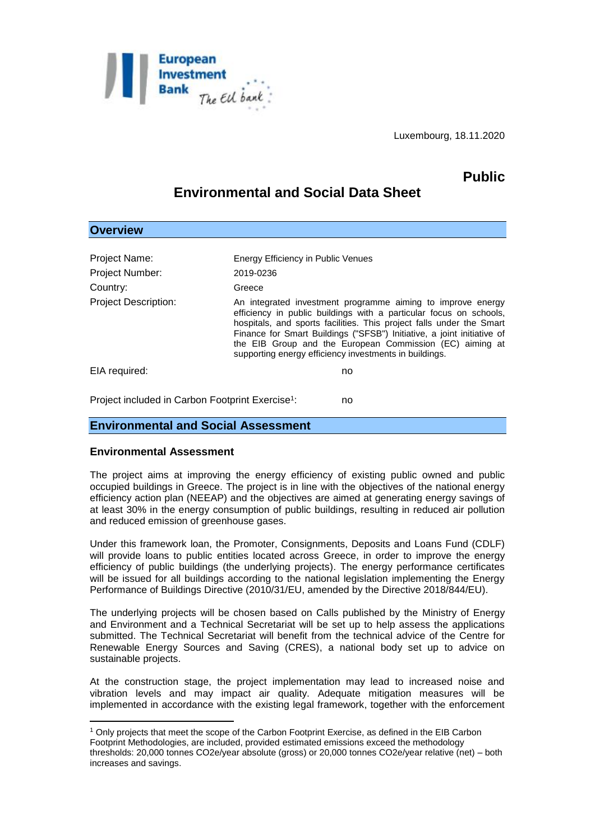

Luxembourg, 18.11.2020

## **Public**

# **Environmental and Social Data Sheet**

| <b>Overview</b>                                                    |                                                                                                                                                                                                                                                                                                                                                                                                           |
|--------------------------------------------------------------------|-----------------------------------------------------------------------------------------------------------------------------------------------------------------------------------------------------------------------------------------------------------------------------------------------------------------------------------------------------------------------------------------------------------|
|                                                                    |                                                                                                                                                                                                                                                                                                                                                                                                           |
| Project Name:                                                      | Energy Efficiency in Public Venues                                                                                                                                                                                                                                                                                                                                                                        |
| <b>Project Number:</b>                                             | 2019-0236                                                                                                                                                                                                                                                                                                                                                                                                 |
| Country:                                                           | Greece                                                                                                                                                                                                                                                                                                                                                                                                    |
| <b>Project Description:</b>                                        | An integrated investment programme aiming to improve energy<br>efficiency in public buildings with a particular focus on schools,<br>hospitals, and sports facilities. This project falls under the Smart<br>Finance for Smart Buildings ("SFSB") Initiative, a joint initiative of<br>the EIB Group and the European Commission (EC) aiming at<br>supporting energy efficiency investments in buildings. |
| EIA required:                                                      | no                                                                                                                                                                                                                                                                                                                                                                                                        |
| Project included in Carbon Footprint Exercise <sup>1</sup> :<br>no |                                                                                                                                                                                                                                                                                                                                                                                                           |

#### **Environmental and Social Assessment**

#### **Environmental Assessment**

1

The project aims at improving the energy efficiency of existing public owned and public occupied buildings in Greece. The project is in line with the objectives of the national energy efficiency action plan (NEEAP) and the objectives are aimed at generating energy savings of at least 30% in the energy consumption of public buildings, resulting in reduced air pollution and reduced emission of greenhouse gases.

Under this framework loan, the Promoter, Consignments, Deposits and Loans Fund (CDLF) will provide loans to public entities located across Greece, in order to improve the energy efficiency of public buildings (the underlying projects). The energy performance certificates will be issued for all buildings according to the national legislation implementing the Energy Performance of Buildings Directive (2010/31/EU, amended by the Directive 2018/844/EU).

The underlying projects will be chosen based on Calls published by the Ministry of Energy and Environment and a Technical Secretariat will be set up to help assess the applications submitted. The Technical Secretariat will benefit from the technical advice of the Centre for Renewable Energy Sources and Saving (CRES), a national body set up to advice on sustainable projects.

At the construction stage, the project implementation may lead to increased noise and vibration levels and may impact air quality. Adequate mitigation measures will be implemented in accordance with the existing legal framework, together with the enforcement

<sup>1</sup> Only projects that meet the scope of the Carbon Footprint Exercise, as defined in the EIB Carbon Footprint Methodologies, are included, provided estimated emissions exceed the methodology thresholds: 20,000 tonnes CO2e/year absolute (gross) or 20,000 tonnes CO2e/year relative (net) – both increases and savings.